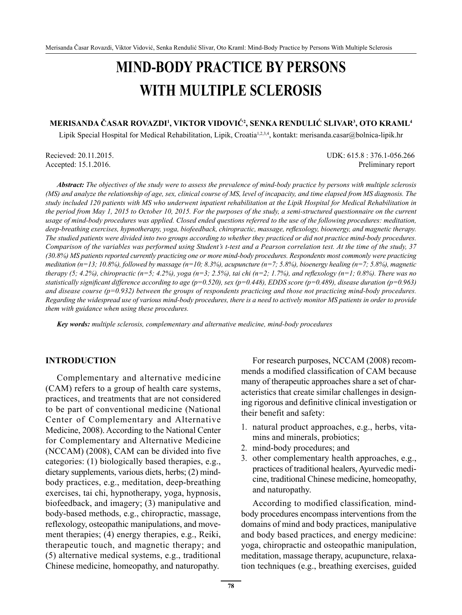# **MIND-BODY PRACTICE BY PERSONS WITH MULTIPLE SCLEROSIS**

#### **MERISANDA ČASAR ROVAZDI1 , VIKTOR VIDOVIĆ<sup>2</sup> , SENKA RENDULIĆ SLIVAR3 , OTO KRAML4**

Lipik Special Hospital for Medical Rehabilitation, Lipik, Croatia<sup>1,2,3,4</sup>, kontakt: merisanda.casar@bolnica-lipik.hr

Recieved: 20.11.2015. UDK: 615.8 : 376.1-056.266 Accepted: 15.1.2016. Preliminary report

*Abstract: The objectives of the study were to assess the prevalence of mind-body practice by persons with multiple sclerosis (MS) and analyze the relationship of age, sex, clinical course of MS, level of incapacity, and time elapsed from MS diagnosis. The study included 120 patients with MS who underwent inpatient rehabilitation at the Lipik Hospital for Medical Rehabilitation in the period from May 1, 2015 to October 10, 2015. For the purposes of the study, a semi-structured questionnaire on the current usage of mind-body procedures was applied. Closed ended questions referred to the use of the following procedures: meditation, deep-breathing exercises, hypnotherapy, yoga, biofeedback, chiropractic, massage, reflexology, bioenergy, and magnetic therapy. The studied patients were divided into two groups according to whether they practiced or did not practice mind-body procedures. Comparison of the variables was performed using Student's t-test and a Pearson correlation test. At the time of the study, 37 (30.8%) MS patients reported currently practicing one or more mind-body procedures. Respondents most commonly were practicing meditation (n=13; 10.8%), followed by massage (n=10; 8.3%), acupuncture (n=7; 5.8%), bioenergy healing (n=7; 5.8%), magnetic therapy (5; 4.2%), chiropractic (n=5; 4.2%), yoga (n=3; 2.5%), tai chi (n=2; 1.7%), and reflexology (n=1; 0.8%). There was no statistically significant difference according to age (p=0.520), sex (p=0.448), EDDS score (p=0.489), disease duration (p=0.963) and disease course (p=0.932) between the groups of respondents practicing and those not practicing mind-body procedures. Regarding the widespread use of various mind-body procedures, there is a need to actively monitor MS patients in order to provide them with guidance when using these procedures.* 

*Key words: multiple sclerosis, complementary and alternative medicine, mind-body procedures* 

#### **INTRODUCTION**

Complementary and alternative medicine (CAM) refers to a group of health care systems, practices, and treatments that are not considered to be part of conventional medicine (National Center of Complementary and Alternative Medicine, 2008). According to the National Center for Complementary and Alternative Medicine (NCCAM) (2008), CAM can be divided into five categories: (1) biologically based therapies, e.g., dietary supplements, various diets, herbs; (2) mindbody practices, e.g., meditation, deep-breathing exercises, tai chi, hypnotherapy, yoga, hypnosis, biofeedback, and imagery; (3) manipulative and body-based methods, e.g., chiropractic, massage, reflexology, osteopathic manipulations, and movement therapies; (4) energy therapies, e.g., Reiki, therapeutic touch, and magnetic therapy; and (5) alternative medical systems, e.g., traditional Chinese medicine, homeopathy, and naturopathy.

For research purposes, NCCAM (2008) recommends a modified classification of CAM because many of therapeutic approaches share a set of characteristics that create similar challenges in designing rigorous and definitive clinical investigation or their benefit and safety:

- 1. natural product approaches, e.g., herbs, vitamins and minerals, probiotics;
- 2. mind-body procedures; and
- 3. other complementary health approaches, e.g., practices of traditional healers, Ayurvedic medicine, traditional Chinese medicine, homeopathy, and naturopathy.

According to modified classification*,* mindbody procedures encompass interventions from the domains of mind and body practices, manipulative and body based practices, and energy medicine: yoga, chiropractic and osteopathic manipulation, meditation, massage therapy, acupuncture, relaxation techniques (e.g., breathing exercises, guided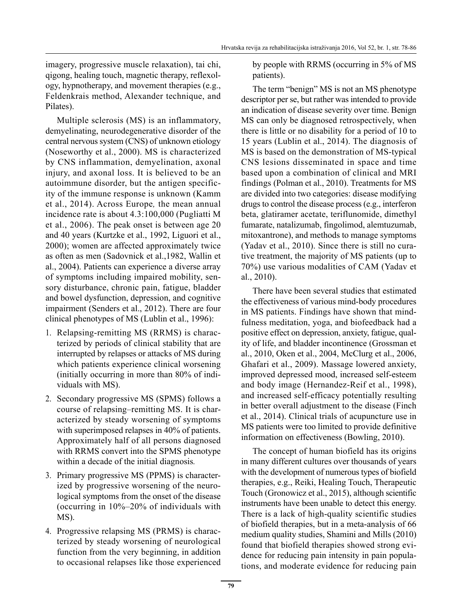imagery, progressive muscle relaxation), tai chi, qigong, healing touch, magnetic therapy, reflexology, hypnotherapy, and movement therapies (e.g., Feldenkrais method, Alexander technique, and Pilates).

Multiple sclerosis (MS) is an inflammatory, demyelinating, neurodegenerative disorder of the central nervous system (CNS) of unknown etiology (Noseworthy et al., 2000). MS is characterized by CNS inflammation, demyelination, axonal injury, and axonal loss. It is believed to be an autoimmune disorder, but the antigen specificity of the immune response is unknown (Kamm et al., 2014). Across Europe*,* the mean annual incidence rate is about 4.3:100,000 (Pugliatti M et al., 2006). The peak onset is between age 20 and 40 years (Kurtzke et al., 1992, Liguori et al., 2000); women are affected approximately twice as often as men (Sadovnick et al.,1982, Wallin et al., 2004). Patients can experience a diverse array of symptoms including impaired mobility, sensory disturbance, chronic pain, fatigue, bladder and bowel dysfunction, depression, and cognitive impairment (Senders et al., 2012). There are four clinical phenotypes of MS (Lublin et al., 1996):

- 1. Relapsing-remitting MS (RRMS) is characterized by periods of clinical stability that are interrupted by relapses or attacks of MS during which patients experience clinical worsening (initially occurring in more than 80% of individuals with MS).
- 2. Secondary progressive MS (SPMS) follows a course of relapsing–remitting MS. It is characterized by steady worsening of symptoms with superimposed relapses in 40% of patients. Approximately half of all persons diagnosed with RRMS convert into the SPMS phenotype within a decade of the initial diagnosis*.*
- 3. Primary progressive MS (PPMS) is characterized by progressive worsening of the neurological symptoms from the onset of the disease (occurring in 10%–20% of individuals with MS).
- 4. Progressive relapsing MS (PRMS) is characterized by steady worsening of neurological function from the very beginning, in addition to occasional relapses like those experienced

by people with RRMS (occurring in 5% of MS patients).

The term "benign" MS is not an MS phenotype descriptor per se, but rather was intended to provide an indication of disease severity over time. Benign MS can only be diagnosed retrospectively, when there is little or no disability for a period of 10 to 15 years (Lublin et al., 2014). The diagnosis of MS is based on the demonstration of MS-typical CNS lesions disseminated in space and time based upon a combination of clinical and MRI findings (Polman et al., 2010). Treatments for MS are divided into two categories: disease modifying drugs to control the disease process (e.g., interferon beta, glatiramer acetate, teriflunomide, dimethyl fumarate, natalizumab, fingolimod, alemtuzumab, mitoxantrone), and methods to manage symptoms (Yadav et al., 2010). Since there is still no curative treatment, the majority of MS patients (up to 70%) use various modalities of CAM (Yadav et al., 2010).

There have been several studies that estimated the effectiveness of various mind-body procedures in MS patients. Findings have shown that mindfulness meditation, yoga, and biofeedback had a positive effect on depression, anxiety, fatigue, quality of life, and bladder incontinence (Grossman et al., 2010, Oken et al., 2004, McClurg et al., 2006, Ghafari et al., 2009). Massage lowered anxiety, improved depressed mood, increased self-esteem and body image (Hernandez-Reif et al., 1998), and increased self-efficacy potentially resulting in better overall adjustment to the disease (Finch et al., 2014). Clinical trials of acupuncture use in MS patients were too limited to provide definitive information on effectiveness (Bowling, 2010).

The concept of human biofield has its origins in many different cultures over thousands of years with the development of numerous types of biofield therapies, e.g., Reiki, Healing Touch, Therapeutic Touch (Gronowicz et al., 2015), although scientific instruments have been unable to detect this energy. There is a lack of high-quality scientific studies of biofield therapies, but in a meta-analysis of 66 medium quality studies, Shamini and Mills (2010) found that biofield therapies showed strong evidence for reducing pain intensity in pain populations, and moderate evidence for reducing pain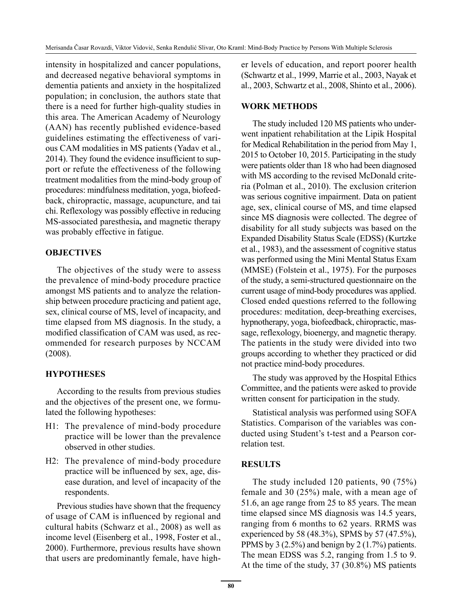intensity in hospitalized and cancer populations, and decreased negative behavioral symptoms in dementia patients and anxiety in the hospitalized population; in conclusion, the authors state that there is a need for further high-quality studies in this area. The American Academy of Neurology (AAN) has recently published evidence-based guidelines estimating the effectiveness of various CAM modalities in MS patients (Yadav et al., 2014). They found the evidence insufficient to support or refute the effectiveness of the following treatment modalities from the mind-body group of procedures: mindfulness meditation, yoga, biofeedback, chiropractic, massage, acupuncture, and tai chi. Reflexology was possibly effective in reducing MS-associated paresthesia**,** and magnetic therapy was probably effective in fatigue.

# **OBJECTIVES**

The objectives of the study were to assess the prevalence of mind-body procedure practice amongst MS patients and to analyze the relationship between procedure practicing and patient age, sex, clinical course of MS, level of incapacity, and time elapsed from MS diagnosis. In the study, a modified classification of CAM was used, as recommended for research purposes by NCCAM (2008).

# **HYPOTHESES**

According to the results from previous studies and the objectives of the present one, we formulated the following hypotheses:

- H1: The prevalence of mind-body procedure practice will be lower than the prevalence observed in other studies.
- H2: The prevalence of mind-body procedure practice will be influenced by sex, age, disease duration, and level of incapacity of the respondents.

Previous studies have shown that the frequency of usage of CAM is influenced by regional and cultural habits (Schwarz et al., 2008) as well as income level (Eisenberg et al., 1998, Foster et al., 2000). Furthermore, previous results have shown that users are predominantly female, have higher levels of education, and report poorer health (Schwartz et al., 1999, Marrie et al., 2003, Nayak et al., 2003, Schwartz et al., 2008, Shinto et al., 2006).

# **WORK METHODS**

The study included 120 MS patients who underwent inpatient rehabilitation at the Lipik Hospital for Medical Rehabilitation in the period from May 1, 2015 to October 10, 2015. Participating in the study were patients older than 18 who had been diagnosed with MS according to the revised McDonald criteria (Polman et al., 2010). The exclusion criterion was serious cognitive impairment. Data on patient age, sex, clinical course of MS, and time elapsed since MS diagnosis were collected. The degree of disability for all study subjects was based on the Expanded Disability Status Scale (EDSS) (Kurtzke et al., 1983), and the assessment of cognitive status was performed using the Mini Mental Status Exam (MMSE) (Folstein et al., 1975). For the purposes of the study, a semi-structured questionnaire on the current usage of mind-body procedures was applied. Closed ended questions referred to the following procedures: meditation, deep-breathing exercises, hypnotherapy, yoga, biofeedback, chiropractic, massage, reflexology, bioenergy, and magnetic therapy. The patients in the study were divided into two groups according to whether they practiced or did not practice mind-body procedures.

The study was approved by the Hospital Ethics Committee, and the patients were asked to provide written consent for participation in the study.

Statistical analysis was performed using SOFA Statistics. Comparison of the variables was conducted using Student's t-test and a Pearson correlation test.

# **RESULTS**

The study included 120 patients, 90 (75%) female and 30 (25%) male, with a mean age of 51.6, an age range from 25 to 85 years. The mean time elapsed since MS diagnosis was 14.5 years, ranging from 6 months to 62 years. RRMS was experienced by 58 (48.3%), SPMS by 57 (47.5%), PPMS by 3 (2.5%) and benign by 2 (1.7%) patients. The mean EDSS was 5.2, ranging from 1.5 to 9. At the time of the study, 37 (30.8%) MS patients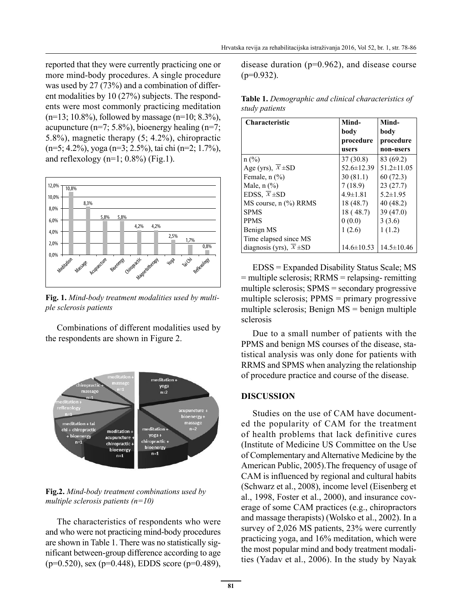reported that they were currently practicing one or more mind-body procedures. A single procedure was used by 27 (73%) and a combination of different modalities by 10 (27%) subjects. The respondents were most commonly practicing meditation  $(n=13; 10.8\%)$ , followed by massage  $(n=10; 8.3\%)$ , acupuncture (n=7;  $5.8\%$ ), bioenergy healing (n=7; 5.8%), magnetic therapy (5; 4.2%), chiropractic (n=5; 4.2%), yoga (n=3; 2.5%), tai chi (n=2; 1.7%), and reflexology ( $n=1$ ; 0.8%) (Fig.1).



**Fig. 1.** *Mind-body treatment modalities used by multiple sclerosis patients*

Combinations of different modalities used by the respondents are shown in Figure 2.



**Fig.2.** *Mind-body treatment combinations used by multiple sclerosis patients (n=10)*

The characteristics of respondents who were and who were not practicing mind-body procedures are shown in Table 1. There was no statistically significant between-group difference according to age  $(p=0.520)$ , sex  $(p=0.448)$ , EDDS score  $(p=0.489)$ , disease duration ( $p=0.962$ ), and disease course  $(p=0.932)$ .

**Table 1.** *Demographic and clinical characteristics of study patients*

| Characteristic                | Mind-            | Mind-            |
|-------------------------------|------------------|------------------|
|                               | body             | body             |
|                               | procedure        | procedure        |
|                               | users            | non-users        |
| $n$ (%)                       | 37(30.8)         | 83 (69.2)        |
| Age (yrs), $\overline{X}$ ±SD | $52.6 \pm 12.39$ | $51.2 \pm 11.05$ |
| Female, $n$ $(\%)$            | 30(81.1)         | 60 (72.3)        |
| Male, $n$ $(\%)$              | 7(18.9)          | 23(27.7)         |
| EDSS, $\overline{X}$ ±SD      | $4.9 \pm 1.81$   | $5.2 \pm 1.95$   |
| MS course, $n$ $%$ ) RRMS     | 18 (48.7)        | 40(48.2)         |
| <b>SPMS</b>                   | 18 (48.7)        | 39 (47.0)        |
| <b>PPMS</b>                   | 0(0.0)           | 3(3.6)           |
| Benign MS                     | 1(2.6)           | 1(1.2)           |
| Time elapsed since MS         |                  |                  |
| diagnosis (yrs), $X \pm SD$   | $14.6 \pm 10.53$ | $14.5 \pm 10.46$ |

EDSS = Expanded Disability Status Scale; MS  $=$  multiple sclerosis; RRMS  $=$  relapsing- remitting multiple sclerosis; SPMS = secondary progressive multiple sclerosis; PPMS = primary progressive multiple sclerosis; Benign  $MS =$  benign multiple sclerosis

Due to a small number of patients with the PPMS and benign MS courses of the disease, statistical analysis was only done for patients with RRMS and SPMS when analyzing the relationship of procedure practice and course of the disease.

#### **DISCUSSION**

Studies on the use of CAM have documented the popularity of CAM for the treatment of health problems that lack definitive cures (Institute of Medicine US Committee on the Use of Complementary and Alternative Medicine by the American Public, 2005).The frequency of usage of CAM is influenced by regional and cultural habits (Schwarz et al., 2008), income level (Eisenberg et al., 1998, Foster et al., 2000), and insurance coverage of some CAM practices (e.g., chiropractors and massage therapists) (Wolsko et al., 2002). In a survey of 2,026 MS patients, 23% were currently practicing yoga, and 16% meditation, which were the most popular mind and body treatment modalities (Yadav et al., 2006). In the study by Nayak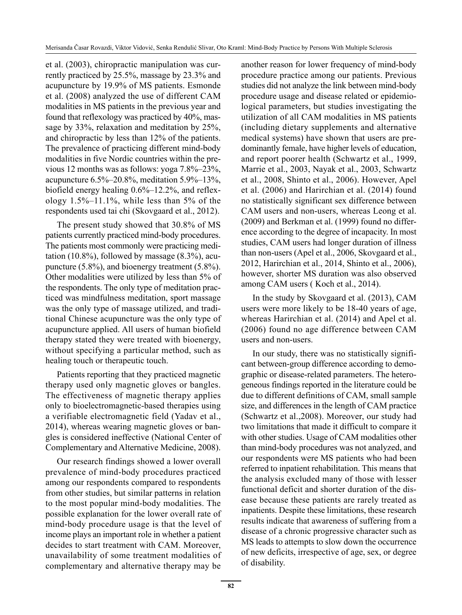et al. (2003), chiropractic manipulation was currently practiced by 25.5%, massage by 23.3% and acupuncture by 19.9% of MS patients. Esmonde et al. (2008) analyzed the use of different CAM modalities in MS patients in the previous year and found that reflexology was practiced by 40%, massage by 33%, relaxation and meditation by 25%, and chiropractic by less than 12% of the patients. The prevalence of practicing different mind-body modalities in five Nordic countries within the previous 12 months was as follows: yoga 7.8%–23%, acupuncture 6.5%–20.8%, meditation 5.9%–13%, biofield energy healing 0.6%–12.2%, and reflexology 1.5%–11.1%, while less than 5% of the respondents used tai chi (Skovgaard et al., 2012).

The present study showed that 30.8% of MS patients currently practiced mind-body procedures. The patients most commonly were practicing meditation (10.8%), followed by massage (8.3%), acupuncture (5.8%), and bioenergy treatment (5.8%). Other modalities were utilized by less than 5% of the respondents. The only type of meditation practiced was mindfulness meditation, sport massage was the only type of massage utilized, and traditional Chinese acupuncture was the only type of acupuncture applied. All users of human biofield therapy stated they were treated with bioenergy, without specifying a particular method, such as healing touch or therapeutic touch.

Patients reporting that they practiced magnetic therapy used only magnetic gloves or bangles. The effectiveness of magnetic therapy applies only to bioelectromagnetic-based therapies using a verifiable electromagnetic field (Yadav et al., 2014), whereas wearing magnetic gloves or bangles is considered ineffective (National Center of Complementary and Alternative Medicine, 2008).

Our research findings showed a lower overall prevalence of mind-body procedures practiced among our respondents compared to respondents from other studies, but similar patterns in relation to the most popular mind-body modalities. The possible explanation for the lower overall rate of mind-body procedure usage is that the level of income plays an important role in whether a patient decides to start treatment with CAM. Moreover, unavailability of some treatment modalities of complementary and alternative therapy may be another reason for lower frequency of mind-body procedure practice among our patients. Previous studies did not analyze the link between mind-body procedure usage and disease related or epidemiological parameters, but studies investigating the utilization of all CAM modalities in MS patients (including dietary supplements and alternative medical systems) have shown that users are predominantly female, have higher levels of education, and report poorer health (Schwartz et al., 1999, Marrie et al., 2003, Nayak et al., 2003, Schwartz et al., 2008, Shinto et al., 2006). However, Apel et al. (2006) and Harirchian et al. (2014) found no statistically significant sex difference between CAM users and non-users, whereas Leong et al. (2009) and Berkman et al. (1999) found no difference according to the degree of incapacity. In most studies, CAM users had longer duration of illness than non-users (Apel et al., 2006, Skovgaard et al., 2012, Harirchian et al., 2014, Shinto et al., 2006), however, shorter MS duration was also observed among CAM users ( Koch et al., 2014).

In the study by Skovgaard et al. (2013), CAM users were more likely to be 18-40 years of age, whereas Harirchian et al. (2014) and Apel et al. (2006) found no age difference between CAM users and non-users.

In our study, there was no statistically significant between-group difference according to demographic or disease-related parameters. The heterogeneous findings reported in the literature could be due to different definitions of CAM, small sample size, and differences in the length of CAM practice (Schwartz et al.,2008). Moreover, our study had two limitations that made it difficult to compare it with other studies. Usage of CAM modalities other than mind-body procedures was not analyzed, and our respondents were MS patients who had been referred to inpatient rehabilitation. This means that the analysis excluded many of those with lesser functional deficit and shorter duration of the disease because these patients are rarely treated as inpatients. Despite these limitations, these research results indicate that awareness of suffering from a disease of a chronic progressive character such as MS leads to attempts to slow down the occurrence of new deficits, irrespective of age, sex, or degree of disability.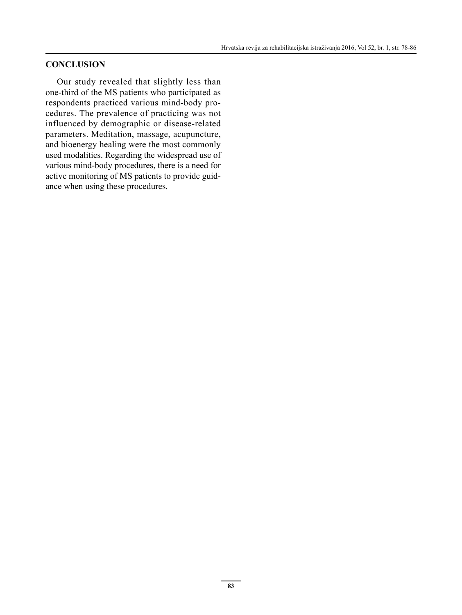### **CONCLUSION**

Our study revealed that slightly less than one-third of the MS patients who participated as respondents practiced various mind-body procedures. The prevalence of practicing was not influenced by demographic or disease-related parameters. Meditation, massage, acupuncture, and bioenergy healing were the most commonly used modalities. Regarding the widespread use of various mind-body procedures, there is a need for active monitoring of MS patients to provide guidance when using these procedures.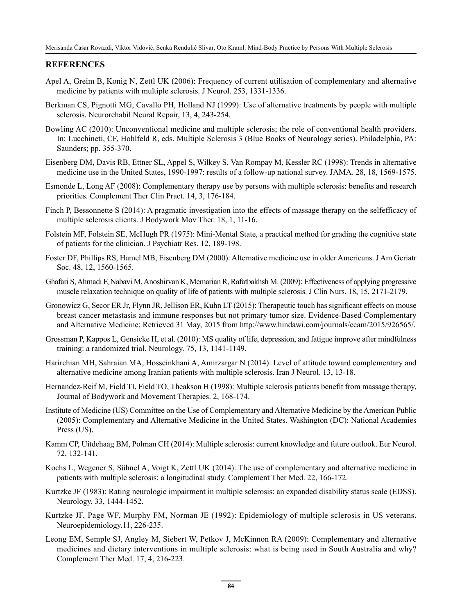#### **REFERENCES**

- Apel A, Greim B, Konig N, Zettl UK (2006): Frequency of current utilisation of complementary and alternative medicine by patients with multiple sclerosis. J Neurol. 253, 1331-1336.
- Berkman CS, Pignotti MG, Cavallo PH, Holland NJ (1999): Use of alternative treatments by people with multiple sclerosis. Neurorehabil Neural Repair, 13, 4, 243-254.
- Bowling AC (2010): Unconventional medicine and multiple sclerosis; the role of conventional health providers. In: Lucchineti, CF, Hohlfeld R, eds. Multiple Sclerosis 3 (Blue Books of Neurology series). Philadelphia, PA: Saunders; pp. 355-370.
- Eisenberg DM, Davis RB, Ettner SL, Appel S, Wilkey S, Van Rompay M, Kessler RC (1998): Trends in alternative medicine use in the United States, 1990-1997: results of a follow-up national survey. JAMA. 28, 18, 1569-1575.
- Esmonde L, Long AF (2008): Complementary therapy use by persons with multiple sclerosis: benefits and research priorities. Complement Ther Clin Pract. 14, 3, 176-184.
- Finch P, Bessonnette S (2014): A pragmatic investigation into the effects of massage therapy on the selfefficacy of multiple sclerosis clients. J Bodywork Mov Ther. 18, 1, 11-16.
- Folstein MF, Folstein SE, McHugh PR (1975): Mini-Mental State, a practical method for grading the cognitive state of patients for the clinician. J Psychiatr Res. 12, 189-198.
- Foster DF, Phillips RS, Hamel MB, Eisenberg DM (2000): Alternative medicine use in older Americans. J Am Geriatr Soc. 48, 12, 1560-1565.
- Ghafari S, Ahmadi F, Nabavi M, Anoshirvan K, Memarian R, Rafatbakhsh M. (2009): Effectiveness of applying progressive muscle relaxation technique on quality of life of patients with multiple sclerosis. J Clin Nurs. 18, 15, 2171-2179.
- Gronowicz G, Secor ER Jr, Flynn JR, Jellison ER, Kuhn LT (2015): Therapeutic touch has significant effects on mouse breast cancer metastasis and immune responses but not primary tumor size. Evidence-Based Complementary and Alternative Medicine; Retrieved 31 May, 2015 from http://www.hindawi.com/journals/ecam/2015/926565/.
- Grossman P, Kappos L, Gensicke H, et al. (2010): MS quality of life, depression, and fatigue improve after mindfulness training: a randomized trial. Neurology. 75, 13, 1141-1149.
- Harirchian MH, Sahraian MA, Hosseinkhani A, Amirzargar N (2014): Level of attitude toward complementary and alternative medicine among Iranian patients with multiple sclerosis. Iran J Neurol. 13, 13-18.
- Hernandez-Reif M, Field TI, Field TO, Theakson H (1998): Multiple sclerosis patients benefit from massage therapy, Journal of Bodywork and Movement Therapies. 2, 168-174.
- Institute of Medicine (US) Committee on the Use of Complementary and Alternative Medicine by the American Public (2005): Complementary and Alternative Medicine in the United States. Washington (DC): National Academies Press (US).
- Kamm CP, Uitdehaag BM, Polman CH (2014): Multiple sclerosis: current knowledge and future outlook. Eur Neurol. 72, 132-141.
- Kochs L, Wegener S, Sühnel A, Voigt K, Zettl UK (2014): The use of complementary and alternative medicine in patients with multiple sclerosis: a longitudinal study. Complement Ther Med. 22, 166-172.
- Kurtzke JF (1983): Rating neurologic impairment in multiple sclerosis: an expanded disability status scale (EDSS). Neurology. 33, 1444-1452.
- Kurtzke JF, Page WF, Murphy FM, Norman JE (1992): Epidemiology of multiple sclerosis in US veterans. Neuroepidemiology.11, 226-235.
- Leong EM, Semple SJ, Angley M, Siebert W, Petkov J, McKinnon RA (2009): Complementary and alternative medicines and dietary interventions in multiple sclerosis: what is being used in South Australia and why? Complement Ther Med. 17, 4, 216-223.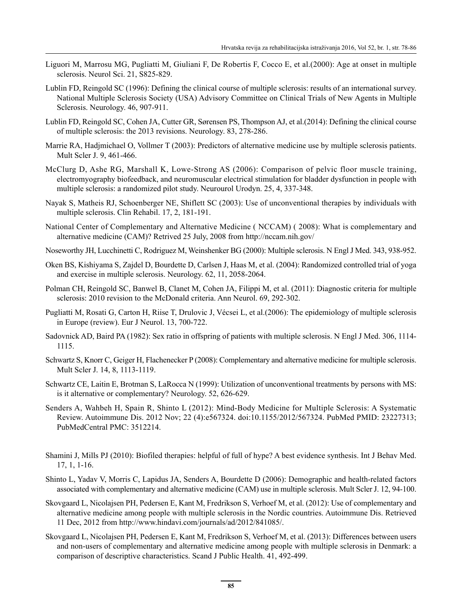- Liguori M, Marrosu MG, Pugliatti M, Giuliani F, De Robertis F, Cocco E, et al.(2000): Age at onset in multiple sclerosis. Neurol Sci. 21, S825-829.
- Lublin FD, Reingold SC (1996): Defining the clinical course of multiple sclerosis: results of an international survey. National Multiple Sclerosis Society (USA) Advisory Committee on Clinical Trials of New Agents in Multiple Sclerosis. Neurology. 46, 907-911.
- Lublin FD, Reingold SC, Cohen JA, Cutter GR, Sørensen PS, Thompson AJ, et al.(2014): Defining the clinical course of multiple sclerosis: the 2013 revisions. Neurology. 83, 278-286.
- Marrie RA, Hadjmichael O, Vollmer T (2003): Predictors of alternative medicine use by multiple sclerosis patients. Mult Scler J. 9, 461-466.
- McClurg D, Ashe RG, Marshall K, Lowe-Strong AS (2006): Comparison of pelvic floor muscle training, electromyography biofeedback, and neuromuscular electrical stimulation for bladder dysfunction in people with multiple sclerosis: a randomized pilot study. Neurourol Urodyn. 25, 4, 337-348.
- Nayak S, Matheis RJ, Schoenberger NE, Shiflett SC (2003): Use of unconventional therapies by individuals with multiple sclerosis. Clin Rehabil. 17, 2, 181-191.
- National Center of Complementary and Alternative Medicine ( NCCAM) ( 2008): What is complementary and alternative medicine (CAM)? Retrived 25 July, 2008 from http://nccam.nih.gov/
- Noseworthy JH, Lucchinetti C, Rodriguez M, Weinshenker BG (2000): Multiple sclerosis. N Engl J Med. 343, 938-952.
- Oken BS, Kishiyama S, Zajdel D, Bourdette D, Carlsen J, Haas M, et al. (2004): Randomized controlled trial of yoga and exercise in multiple sclerosis. Neurology. 62, 11, 2058-2064.
- Polman CH, Reingold SC, Banwel B, Clanet M, Cohen JA, Filippi M, et al. (2011): Diagnostic criteria for multiple sclerosis: 2010 revision to the McDonald criteria. Ann Neurol. 69, 292-302.
- Pugliatti M, Rosati G, Carton H, Riise T, Drulovic J, Vécsei L, et al.(2006): The epidemiology of multiple sclerosis in Europe (review). Eur J Neurol. 13, 700-722.
- Sadovnick AD, Baird PA (1982): Sex ratio in offspring of patients with multiple sclerosis. N Engl J Med. 306, 1114- 1115.
- Schwartz S, Knorr C, Geiger H, Flachenecker P (2008): Complementary and alternative medicine for multiple sclerosis. Mult Scler J. 14, 8, 1113-1119.
- Schwartz CE, Laitin E, Brotman S, LaRocca N (1999): Utilization of unconventional treatments by persons with MS: is it alternative or complementary? Neurology. 52, 626-629.
- Senders A, Wahbeh H, Spain R, Shinto L (2012): Mind-Body Medicine for Multiple Sclerosis: A Systematic Review. Autoimmune Dis. 2012 Nov; 22 (4):e567324. doi:10.1155/2012/567324. PubMed PMID: 23227313; PubMedCentral PMC: 3512214.
- Shamini J, Mills PJ (2010): Biofiled therapies: helpful of full of hype? A best evidence synthesis. Int J Behav Med. 17, 1, 1-16.
- Shinto L, Yadav V, Morris C, Lapidus JA, Senders A, Bourdette D (2006): Demographic and health-related factors associated with complementary and alternative medicine (CAM) use in multiple sclerosis. Mult Scler J. 12, 94-100.
- Skovgaard L, Nicolajsen PH, Pedersen E, Kant M, Fredrikson S, Verhoef M, et al. (2012): Use of complementary and alternative medicine among people with multiple sclerosis in the Nordic countries. Autoimmune Dis. Retrieved 11 Dec, 2012 from http://www.hindavi.com/journals/ad/2012/841085/.
- Skovgaard L, Nicolajsen PH, Pedersen E, Kant M, Fredrikson S, Verhoef M, et al. (2013): Differences between users and non-users of complementary and alternative medicine among people with multiple sclerosis in Denmark: a comparison of descriptive characteristics. Scand J Public Health. 41, 492-499.